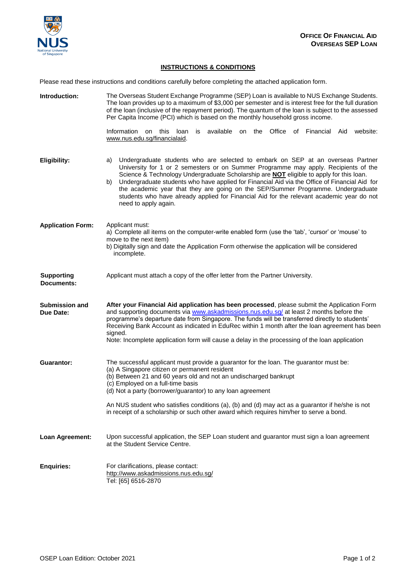

## **INSTRUCTIONS & CONDITIONS**

Please read these instructions and conditions carefully before completing the attached application form.

| Introduction:                      | The Overseas Student Exchange Programme (SEP) Loan is available to NUS Exchange Students.<br>The loan provides up to a maximum of \$3,000 per semester and is interest free for the full duration<br>of the loan (inclusive of the repayment period). The quantum of the loan is subject to the assessed<br>Per Capita Income (PCI) which is based on the monthly household gross income.                                                                                                                                                                                                      |  |
|------------------------------------|------------------------------------------------------------------------------------------------------------------------------------------------------------------------------------------------------------------------------------------------------------------------------------------------------------------------------------------------------------------------------------------------------------------------------------------------------------------------------------------------------------------------------------------------------------------------------------------------|--|
|                                    | Information on this loan<br>available<br>the<br>Office<br>of Financial<br>Aid<br>website:<br>is<br>on<br>www.nus.edu.sg/financialaid.                                                                                                                                                                                                                                                                                                                                                                                                                                                          |  |
| <b>Eligibility:</b>                | Undergraduate students who are selected to embark on SEP at an overseas Partner<br>a)<br>University for 1 or 2 semesters or on Summer Programme may apply. Recipients of the<br>Science & Technology Undergraduate Scholarship are <b>NOT</b> eligible to apply for this loan.<br>Undergraduate students who have applied for Financial Aid via the Office of Financial Aid for<br>b)<br>the academic year that they are going on the SEP/Summer Programme. Undergraduate<br>students who have already applied for Financial Aid for the relevant academic year do not<br>need to apply again. |  |
| <b>Application Form:</b>           | Applicant must:<br>a) Complete all items on the computer-write enabled form (use the 'tab', 'cursor' or 'mouse' to<br>move to the next item)<br>b) Digitally sign and date the Application Form otherwise the application will be considered<br>incomplete.                                                                                                                                                                                                                                                                                                                                    |  |
| <b>Supporting</b><br>Documents:    | Applicant must attach a copy of the offer letter from the Partner University.                                                                                                                                                                                                                                                                                                                                                                                                                                                                                                                  |  |
| <b>Submission and</b><br>Due Date: | After your Financial Aid application has been processed, please submit the Application Form<br>and supporting documents via www.askadmissions.nus.edu.sg/ at least 2 months before the<br>programme's departure date from Singapore. The funds will be transferred directly to students'<br>Receiving Bank Account as indicated in EduRec within 1 month after the loan agreement has been<br>signed.<br>Note: Incomplete application form will cause a delay in the processing of the loan application                                                                                        |  |
| <b>Guarantor:</b>                  | The successful applicant must provide a guarantor for the loan. The guarantor must be:<br>(a) A Singapore citizen or permanent resident<br>(b) Between 21 and 60 years old and not an undischarged bankrupt<br>(c) Employed on a full-time basis<br>(d) Not a party (borrower/guarantor) to any loan agreement<br>An NUS student who satisfies conditions (a), (b) and (d) may act as a guarantor if he/she is not<br>in receipt of a scholarship or such other award which requires him/her to serve a bond.                                                                                  |  |
| Loan Agreement:                    | Upon successful application, the SEP Loan student and guarantor must sign a loan agreement<br>at the Student Service Centre.                                                                                                                                                                                                                                                                                                                                                                                                                                                                   |  |
| <b>Enquiries:</b>                  | For clarifications, please contact:<br>http://www.askadmissions.nus.edu.sg/<br>Tel: [65] 6516-2870                                                                                                                                                                                                                                                                                                                                                                                                                                                                                             |  |